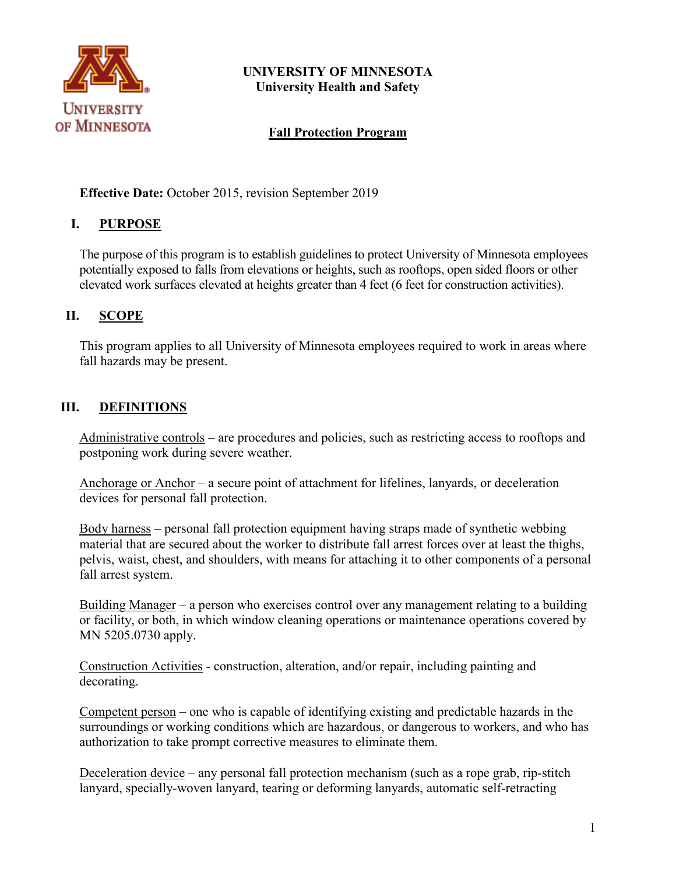

## **UNIVERSITY OF MINNESOTA University Health and Safety**

## **Fall Protection Program**

**Effective Date:** October 2015, revision September 2019

#### **I. PURPOSE**

The purpose of this program is to establish guidelines to protect University of Minnesota employees potentially exposed to falls from elevations or heights, such as rooftops, open sided floors or other elevated work surfaces elevated at heights greater than 4 feet (6 feet for construction activities).

#### **II. SCOPE**

This program applies to all University of Minnesota employees required to work in areas where fall hazards may be present.

## **III. DEFINITIONS**

Administrative controls – are procedures and policies, such as restricting access to rooftops and postponing work during severe weather.

Anchorage or Anchor – a secure point of attachment for lifelines, lanyards, or deceleration devices for personal fall protection.

Body harness – personal fall protection equipment having straps made of synthetic webbing material that are secured about the worker to distribute fall arrest forces over at least the thighs, pelvis, waist, chest, and shoulders, with means for attaching it to other components of a personal fall arrest system.

Building Manager – a person who exercises control over any management relating to a building or facility, or both, in which window cleaning operations or maintenance operations covered by MN 5205.0730 apply.

Construction Activities - construction, alteration, and/or repair, including painting and decorating.

Competent person – one who is capable of identifying existing and predictable hazards in the surroundings or working conditions which are hazardous, or dangerous to workers, and who has authorization to take prompt corrective measures to eliminate them.

Deceleration device – any personal fall protection mechanism (such as a rope grab, rip-stitch lanyard, specially-woven lanyard, tearing or deforming lanyards, automatic self-retracting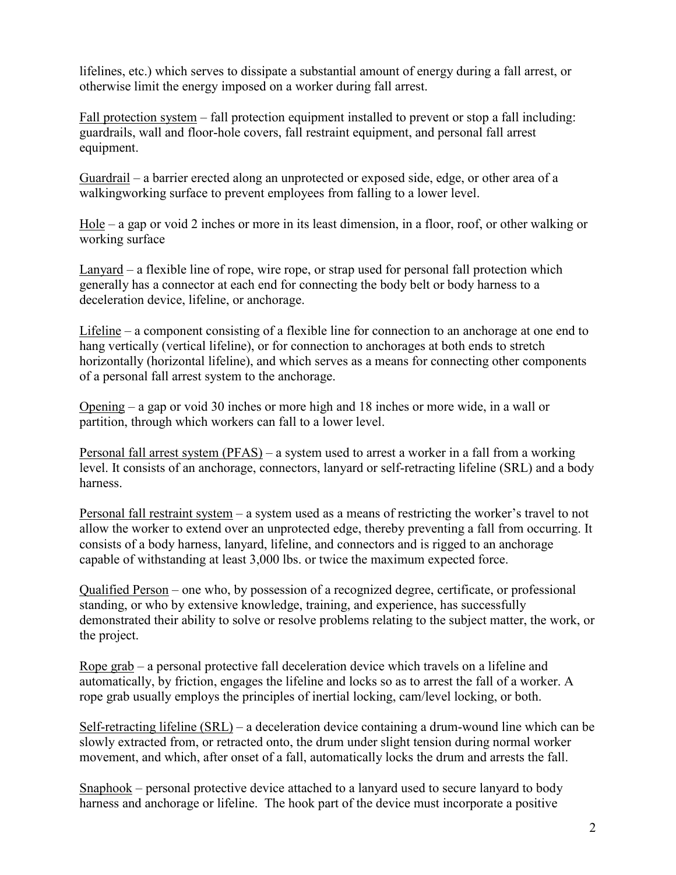lifelines, etc.) which serves to dissipate a substantial amount of energy during a fall arrest, or otherwise limit the energy imposed on a worker during fall arrest.

Fall protection system – fall protection equipment installed to prevent or stop a fall including: guardrails, wall and floor-hole covers, fall restraint equipment, and personal fall arrest equipment.

Guardrail – a barrier erected along an unprotected or exposed side, edge, or other area of a walkingworking surface to prevent employees from falling to a lower level.

Hole – a gap or void 2 inches or more in its least dimension, in a floor, roof, or other walking or working surface

Lanyard – a flexible line of rope, wire rope, or strap used for personal fall protection which generally has a connector at each end for connecting the body belt or body harness to a deceleration device, lifeline, or anchorage.

Lifeline – a component consisting of a flexible line for connection to an anchorage at one end to hang vertically (vertical lifeline), or for connection to anchorages at both ends to stretch horizontally (horizontal lifeline), and which serves as a means for connecting other components of a personal fall arrest system to the anchorage.

Opening – a gap or void 30 inches or more high and 18 inches or more wide, in a wall or partition, through which workers can fall to a lower level.

Personal fall arrest system (PFAS) – a system used to arrest a worker in a fall from a working level. It consists of an anchorage, connectors, lanyard or self-retracting lifeline (SRL) and a body harness.

Personal fall restraint system – a system used as a means of restricting the worker's travel to not allow the worker to extend over an unprotected edge, thereby preventing a fall from occurring. It consists of a body harness, lanyard, lifeline, and connectors and is rigged to an anchorage capable of withstanding at least 3,000 lbs. or twice the maximum expected force.

Qualified Person – one who, by possession of a recognized degree, certificate, or professional standing, or who by extensive knowledge, training, and experience, has successfully demonstrated their ability to solve or resolve problems relating to the subject matter, the work, or the project.

Rope grab – a personal protective fall deceleration device which travels on a lifeline and automatically, by friction, engages the lifeline and locks so as to arrest the fall of a worker. A rope grab usually employs the principles of inertial locking, cam/level locking, or both.

Self-retracting lifeline (SRL) – a deceleration device containing a drum-wound line which can be slowly extracted from, or retracted onto, the drum under slight tension during normal worker movement, and which, after onset of a fall, automatically locks the drum and arrests the fall.

Snaphook – personal protective device attached to a lanyard used to secure lanyard to body harness and anchorage or lifeline. The hook part of the device must incorporate a positive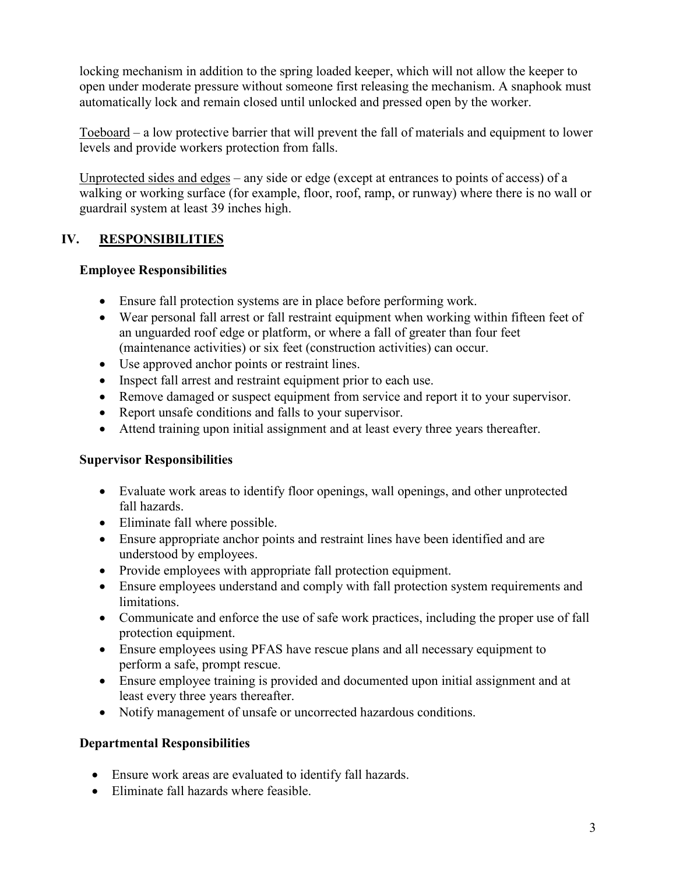locking mechanism in addition to the spring loaded keeper, which will not allow the keeper to open under moderate pressure without someone first releasing the mechanism. A snaphook must automatically lock and remain closed until unlocked and pressed open by the worker.

Toeboard – a low protective barrier that will prevent the fall of materials and equipment to lower levels and provide workers protection from falls.

Unprotected sides and edges – any side or edge (except at entrances to points of access) of a walking or working surface (for example, floor, roof, ramp, or runway) where there is no wall or guardrail system at least 39 inches high.

## **IV. RESPONSIBILITIES**

## **Employee Responsibilities**

- Ensure fall protection systems are in place before performing work.
- Wear personal fall arrest or fall restraint equipment when working within fifteen feet of an unguarded roof edge or platform, or where a fall of greater than four feet (maintenance activities) or six feet (construction activities) can occur.
- Use approved anchor points or restraint lines.
- Inspect fall arrest and restraint equipment prior to each use.
- Remove damaged or suspect equipment from service and report it to your supervisor.
- Report unsafe conditions and falls to your supervisor.
- Attend training upon initial assignment and at least every three years thereafter.

#### **Supervisor Responsibilities**

- Evaluate work areas to identify floor openings, wall openings, and other unprotected fall hazards.
- Eliminate fall where possible.
- Ensure appropriate anchor points and restraint lines have been identified and are understood by employees.
- Provide employees with appropriate fall protection equipment.
- Ensure employees understand and comply with fall protection system requirements and limitations.
- Communicate and enforce the use of safe work practices, including the proper use of fall protection equipment.
- Ensure employees using PFAS have rescue plans and all necessary equipment to perform a safe, prompt rescue.
- Ensure employee training is provided and documented upon initial assignment and at least every three years thereafter.
- Notify management of unsafe or uncorrected hazardous conditions.

#### **Departmental Responsibilities**

- Ensure work areas are evaluated to identify fall hazards.
- Eliminate fall hazards where feasible.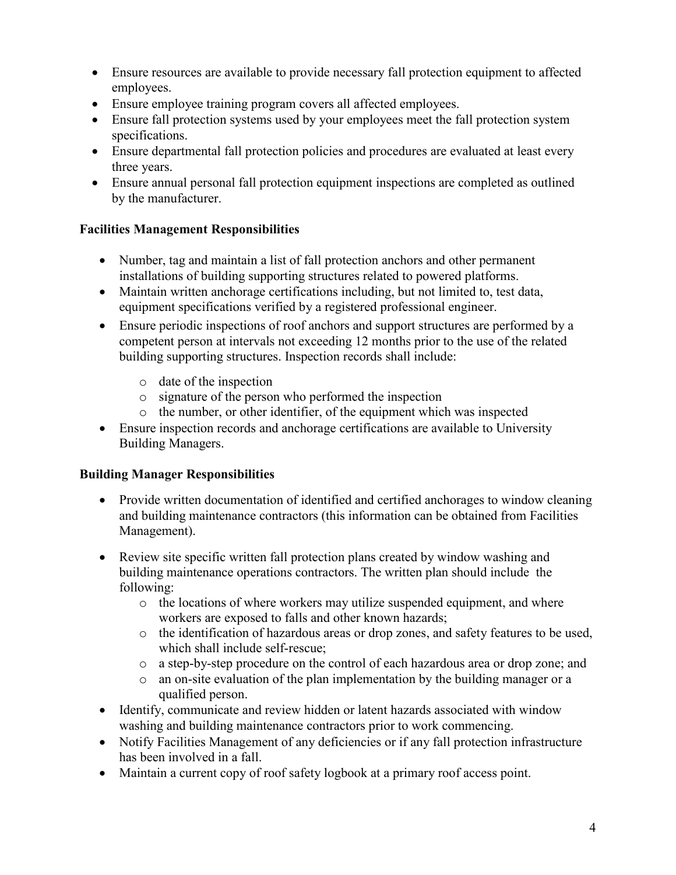- Ensure resources are available to provide necessary fall protection equipment to affected employees.
- Ensure employee training program covers all affected employees.
- Ensure fall protection systems used by your employees meet the fall protection system specifications.
- Ensure departmental fall protection policies and procedures are evaluated at least every three years.
- Ensure annual personal fall protection equipment inspections are completed as outlined by the manufacturer.

## **Facilities Management Responsibilities**

- Number, tag and maintain a list of fall protection anchors and other permanent installations of building supporting structures related to powered platforms.
- Maintain written anchorage certifications including, but not limited to, test data, equipment specifications verified by a registered professional engineer.
- Ensure periodic inspections of roof anchors and support structures are performed by a competent person at intervals not exceeding 12 months prior to the use of the related building supporting structures. Inspection records shall include:
	- o date of the inspection
	- o signature of the person who performed the inspection
	- o the number, or other identifier, of the equipment which was inspected
- Ensure inspection records and anchorage certifications are available to University Building Managers.

## **Building Manager Responsibilities**

- Provide written documentation of identified and certified anchorages to window cleaning and building maintenance contractors (this information can be obtained from Facilities Management).
- Review site specific written fall protection plans created by window washing and building maintenance operations contractors. The written plan should include the following:
	- o the locations of where workers may utilize suspended equipment, and where workers are exposed to falls and other known hazards;
	- o the identification of hazardous areas or drop zones, and safety features to be used, which shall include self-rescue;
	- o a step-by-step procedure on the control of each hazardous area or drop zone; and
	- o an on-site evaluation of the plan implementation by the building manager or a qualified person.
- Identify, communicate and review hidden or latent hazards associated with window washing and building maintenance contractors prior to work commencing.
- Notify Facilities Management of any deficiencies or if any fall protection infrastructure has been involved in a fall.
- Maintain a current copy of roof safety logbook at a primary roof access point.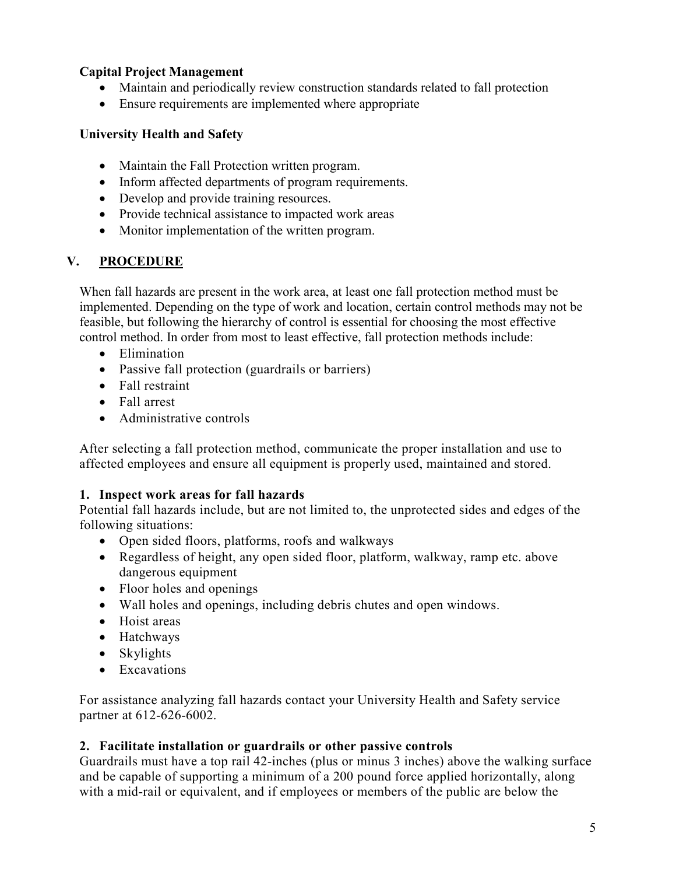## **Capital Project Management**

- Maintain and periodically review construction standards related to fall protection
- Ensure requirements are implemented where appropriate

#### **University Health and Safety**

- Maintain the Fall Protection written program.
- Inform affected departments of program requirements.
- Develop and provide training resources.
- Provide technical assistance to impacted work areas
- Monitor implementation of the written program.

#### **V. PROCEDURE**

When fall hazards are present in the work area, at least one fall protection method must be implemented. Depending on the type of work and location, certain control methods may not be feasible, but following the hierarchy of control is essential for choosing the most effective control method. In order from most to least effective, fall protection methods include:

- Elimination
- Passive fall protection (guardrails or barriers)
- Fall restraint
- Fall arrest
- Administrative controls

After selecting a fall protection method, communicate the proper installation and use to affected employees and ensure all equipment is properly used, maintained and stored.

#### **1. Inspect work areas for fall hazards**

Potential fall hazards include, but are not limited to, the unprotected sides and edges of the following situations:

- Open sided floors, platforms, roofs and walkways
- Regardless of height, any open sided floor, platform, walkway, ramp etc. above dangerous equipment
- Floor holes and openings
- Wall holes and openings, including debris chutes and open windows.
- Hoist areas
- Hatchways
- Skylights
- Excavations

For assistance analyzing fall hazards contact your University Health and Safety service partner at 612-626-6002.

#### **2. Facilitate installation or guardrails or other passive controls**

Guardrails must have a top rail 42-inches (plus or minus 3 inches) above the walking surface and be capable of supporting a minimum of a 200 pound force applied horizontally, along with a mid-rail or equivalent, and if employees or members of the public are below the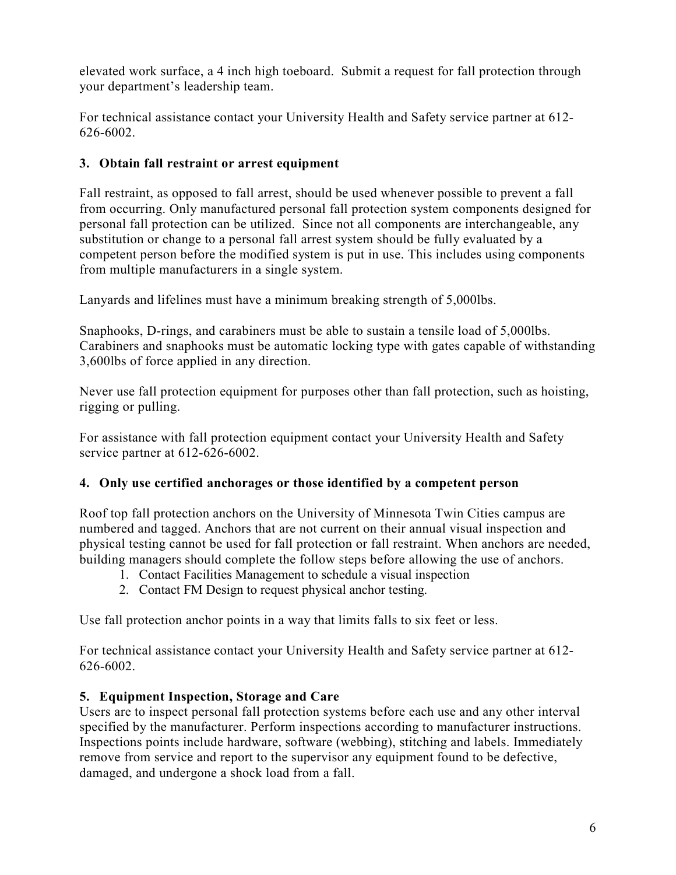elevated work surface, a 4 inch high toeboard. Submit a request for fall protection through your department's leadership team.

For technical assistance contact your University Health and Safety service partner at 612- 626-6002.

## **3. Obtain fall restraint or arrest equipment**

Fall restraint, as opposed to fall arrest, should be used whenever possible to prevent a fall from occurring. Only manufactured personal fall protection system components designed for personal fall protection can be utilized. Since not all components are interchangeable, any substitution or change to a personal fall arrest system should be fully evaluated by a competent person before the modified system is put in use. This includes using components from multiple manufacturers in a single system.

Lanyards and lifelines must have a minimum breaking strength of 5,000lbs.

Snaphooks, D-rings, and carabiners must be able to sustain a tensile load of 5,000lbs. Carabiners and snaphooks must be automatic locking type with gates capable of withstanding 3,600lbs of force applied in any direction.

Never use fall protection equipment for purposes other than fall protection, such as hoisting, rigging or pulling.

For assistance with fall protection equipment contact your University Health and Safety service partner at 612-626-6002.

## **4. Only use certified anchorages or those identified by a competent person**

Roof top fall protection anchors on the University of Minnesota Twin Cities campus are numbered and tagged. Anchors that are not current on their annual visual inspection and physical testing cannot be used for fall protection or fall restraint. When anchors are needed, building managers should complete the follow steps before allowing the use of anchors.

- 1. Contact Facilities Management to schedule a visual inspection
- 2. Contact FM Design to request physical anchor testing.

Use fall protection anchor points in a way that limits falls to six feet or less.

For technical assistance contact your University Health and Safety service partner at 612- 626-6002.

## **5. Equipment Inspection, Storage and Care**

Users are to inspect personal fall protection systems before each use and any other interval specified by the manufacturer. Perform inspections according to manufacturer instructions. Inspections points include hardware, software (webbing), stitching and labels. Immediately remove from service and report to the supervisor any equipment found to be defective, damaged, and undergone a shock load from a fall.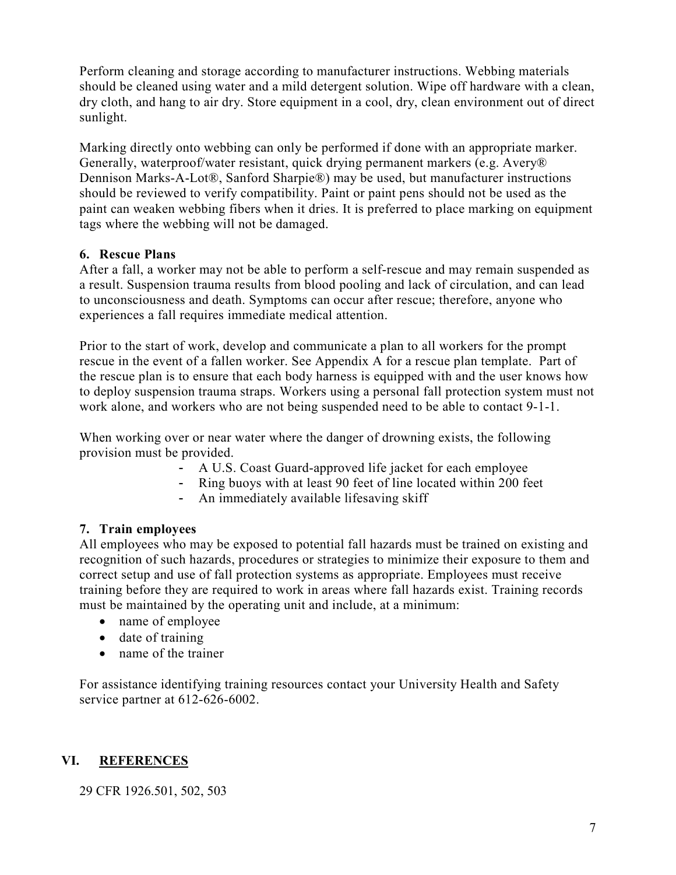Perform cleaning and storage according to manufacturer instructions. Webbing materials should be cleaned using water and a mild detergent solution. Wipe off hardware with a clean, dry cloth, and hang to air dry. Store equipment in a cool, dry, clean environment out of direct sunlight.

Marking directly onto webbing can only be performed if done with an appropriate marker. Generally, waterproof/water resistant, quick drying permanent markers (e.g. Avery® Dennison Marks-A-Lot®, Sanford Sharpie®) may be used, but manufacturer instructions should be reviewed to verify compatibility. Paint or paint pens should not be used as the paint can weaken webbing fibers when it dries. It is preferred to place marking on equipment tags where the webbing will not be damaged.

## **6. Rescue Plans**

After a fall, a worker may not be able to perform a self-rescue and may remain suspended as a result. Suspension trauma results from blood pooling and lack of circulation, and can lead to unconsciousness and death. Symptoms can occur after rescue; therefore, anyone who experiences a fall requires immediate medical attention.

Prior to the start of work, develop and communicate a plan to all workers for the prompt rescue in the event of a fallen worker. See Appendix A for a rescue plan template. Part of the rescue plan is to ensure that each body harness is equipped with and the user knows how to deploy suspension trauma straps. Workers using a personal fall protection system must not work alone, and workers who are not being suspended need to be able to contact 9-1-1.

When working over or near water where the danger of drowning exists, the following provision must be provided.

- A U.S. Coast Guard-approved life jacket for each employee
- Ring buoys with at least 90 feet of line located within 200 feet
- An immediately available lifesaving skiff

## **7. Train employees**

All employees who may be exposed to potential fall hazards must be trained on existing and recognition of such hazards, procedures or strategies to minimize their exposure to them and correct setup and use of fall protection systems as appropriate. Employees must receive training before they are required to work in areas where fall hazards exist. Training records must be maintained by the operating unit and include, at a minimum:

- name of employee
- date of training
- name of the trainer

For assistance identifying training resources contact your University Health and Safety service partner at 612-626-6002.

## **VI. REFERENCES**

29 CFR 1926.501, 502, 503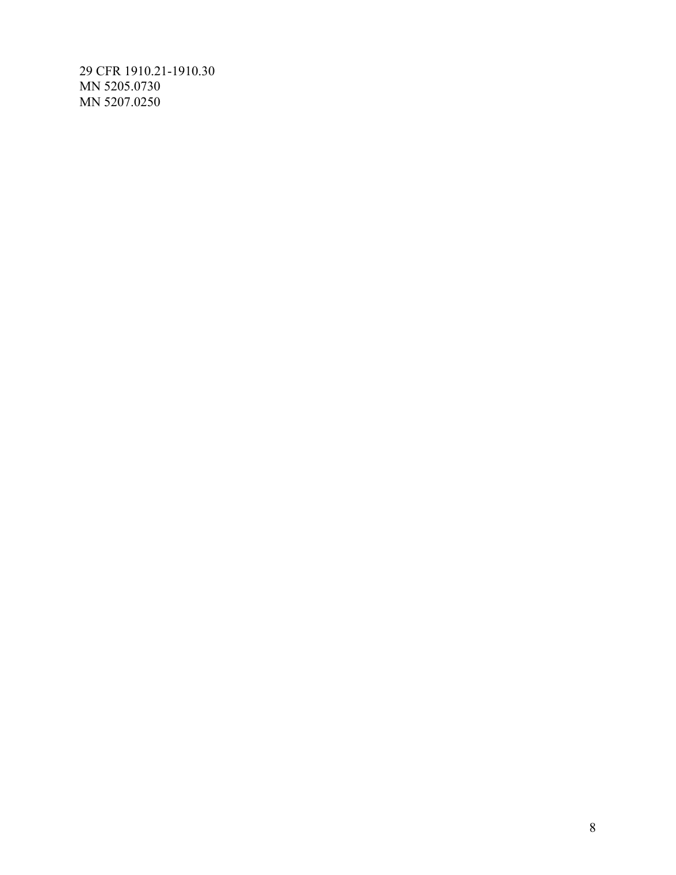29 CFR 1910.21-1910.30 MN 5205.0730 MN 5207.0250